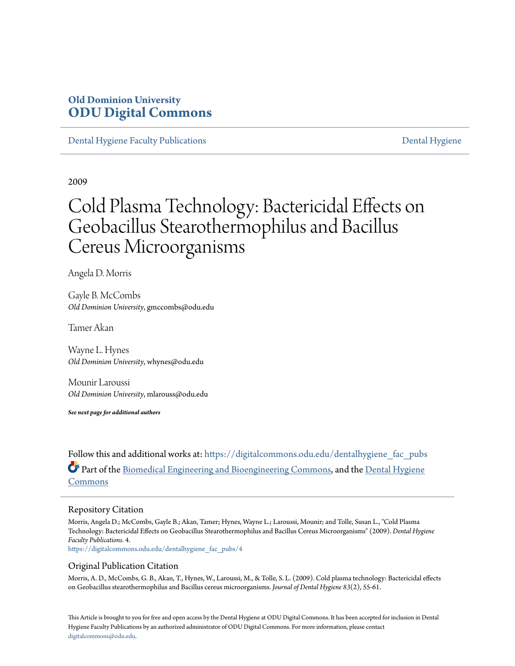# **Old Dominion University [ODU Digital Commons](https://digitalcommons.odu.edu?utm_source=digitalcommons.odu.edu%2Fdentalhygiene_fac_pubs%2F4&utm_medium=PDF&utm_campaign=PDFCoverPages)**

[Dental Hygiene Faculty Publications](https://digitalcommons.odu.edu/dentalhygiene_fac_pubs?utm_source=digitalcommons.odu.edu%2Fdentalhygiene_fac_pubs%2F4&utm_medium=PDF&utm_campaign=PDFCoverPages) [Dental Hygiene](https://digitalcommons.odu.edu/dentalhygiene?utm_source=digitalcommons.odu.edu%2Fdentalhygiene_fac_pubs%2F4&utm_medium=PDF&utm_campaign=PDFCoverPages)

2009

# Cold Plasma Technology: Bactericidal Effects on Geobacillus Stearothermophilus and Bacillus Cereus Microorganisms

Angela D. Morris

Gayle B. McCombs *Old Dominion University*, gmccombs@odu.edu

Tamer Akan

Wayne L. Hynes *Old Dominion University*, whynes@odu.edu

Mounir Laroussi *Old Dominion University*, mlarouss@odu.edu

*See next page for additional authors*

Follow this and additional works at: [https://digitalcommons.odu.edu/dentalhygiene\\_fac\\_pubs](https://digitalcommons.odu.edu/dentalhygiene_fac_pubs?utm_source=digitalcommons.odu.edu%2Fdentalhygiene_fac_pubs%2F4&utm_medium=PDF&utm_campaign=PDFCoverPages) Part of the [Biomedical Engineering and Bioengineering Commons,](http://network.bepress.com/hgg/discipline/229?utm_source=digitalcommons.odu.edu%2Fdentalhygiene_fac_pubs%2F4&utm_medium=PDF&utm_campaign=PDFCoverPages) and the [Dental Hygiene](http://network.bepress.com/hgg/discipline/1362?utm_source=digitalcommons.odu.edu%2Fdentalhygiene_fac_pubs%2F4&utm_medium=PDF&utm_campaign=PDFCoverPages) [Commons](http://network.bepress.com/hgg/discipline/1362?utm_source=digitalcommons.odu.edu%2Fdentalhygiene_fac_pubs%2F4&utm_medium=PDF&utm_campaign=PDFCoverPages)

#### Repository Citation

Morris, Angela D.; McCombs, Gayle B.; Akan, Tamer; Hynes, Wayne L.; Laroussi, Mounir; and Tolle, Susan L., "Cold Plasma Technology: Bactericidal Effects on Geobacillus Stearothermophilus and Bacillus Cereus Microorganisms" (2009). *Dental Hygiene Faculty Publications*. 4.

[https://digitalcommons.odu.edu/dentalhygiene\\_fac\\_pubs/4](https://digitalcommons.odu.edu/dentalhygiene_fac_pubs/4?utm_source=digitalcommons.odu.edu%2Fdentalhygiene_fac_pubs%2F4&utm_medium=PDF&utm_campaign=PDFCoverPages)

#### Original Publication Citation

Morris, A. D., McCombs, G. B., Akan, T., Hynes, W., Laroussi, M., & Tolle, S. L. (2009). Cold plasma technology: Bactericidal effects on Geobacillus stearothermophilus and Bacillus cereus microorganisms. *Journal of Dental Hygiene 83*(2), 55-61.

This Article is brought to you for free and open access by the Dental Hygiene at ODU Digital Commons. It has been accepted for inclusion in Dental Hygiene Faculty Publications by an authorized administrator of ODU Digital Commons. For more information, please contact [digitalcommons@odu.edu.](mailto:digitalcommons@odu.edu)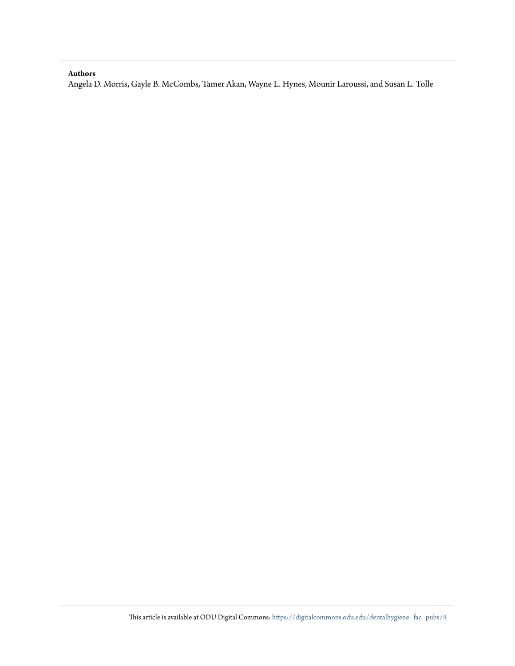#### **Authors**

Angela D. Morris, Gayle B. McCombs, Tamer Akan, Wayne L. Hynes, Mounir Laroussi, and Susan L. Tolle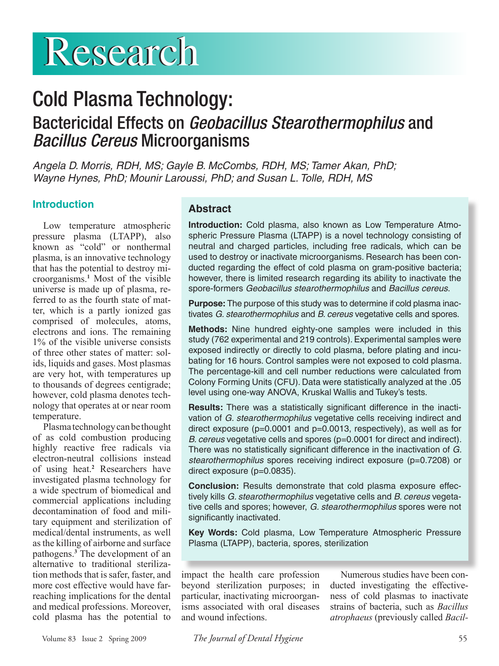# **Research**

# Cold Plasma Technology: Bactericidal Effects on *Geobacillus Stearothermophilus* and *Bacillus Cereus* Microorganisms

*Angela D. Morris, RDH, MS; Gayle B. McCombs, RDH, MS; Tamer Akan, PhD; Wayne Hynes, PhD; Mounir Laroussi, PhD; and Susan L. Tolle, RDH, MS*

## **Introduction**

Low temperature atmospheric pressure plasma (LTAPP), also known as "cold" or nonthermal plasma, is an innovative technology that has the potential to destroy microorganisms.**<sup>1</sup>** Most of the visible universe is made up of plasma, referred to as the fourth state of matter, which is a partly ionized gas comprised of molecules, atoms, electrons and ions. The remaining 1% of the visible universe consists of three other states of matter: solids, liquids and gases. Most plasmas are very hot, with temperatures up to thousands of degrees centigrade; however, cold plasma denotes technology that operates at or near room temperature.

Plasma technology can be thought of as cold combustion producing highly reactive free radicals via electron-neutral collisions instead of using heat.**<sup>2</sup>** Researchers have investigated plasma technology for a wide spectrum of biomedical and commercial applications including decontamination of food and military equipment and sterilization of medical/dental instruments, as well as the killing of airborne and surface pathogens.**<sup>3</sup>** The development of an alternative to traditional sterilization methods that is safer, faster, and more cost effective would have farreaching implications for the dental and medical professions. Moreover, cold plasma has the potential to

### **Abstract**

**Introduction:** Cold plasma, also known as Low Temperature Atmospheric Pressure Plasma (LTAPP) is a novel technology consisting of neutral and charged particles, including free radicals, which can be used to destroy or inactivate microorganisms. Research has been conducted regarding the effect of cold plasma on gram-positive bacteria; however, there is limited research regarding its ability to inactivate the spore-formers *Geobacillus stearothermophilus* and *Bacillus cereus*.

**Purpose:** The purpose of this study was to determine if cold plasma inactivates *G. stearothermophilus* and *B. cereus* vegetative cells and spores.

**Methods:** Nine hundred eighty-one samples were included in this study (762 experimental and 219 controls). Experimental samples were exposed indirectly or directly to cold plasma, before plating and incubating for 16 hours. Control samples were not exposed to cold plasma. The percentage-kill and cell number reductions were calculated from Colony Forming Units (CFU). Data were statistically analyzed at the .05 level using one-way ANOVA, Kruskal Wallis and Tukey's tests.

**Results:** There was a statistically significant difference in the inactivation of *G. stearothermophilus* vegetative cells receiving indirect and direct exposure ( $p=0.0001$  and  $p=0.0013$ , respectively), as well as for *B. cereus* vegetative cells and spores (p=0.0001 for direct and indirect). There was no statistically significant difference in the inactivation of *G. stearothermophilus* spores receiving indirect exposure (p=0.7208) or direct exposure (p=0.0835).

**Conclusion:** Results demonstrate that cold plasma exposure effectively kills *G. stearothermophilus* vegetative cells and *B. cereus* vegetative cells and spores; however, *G. stearothermophilus* spores were not significantly inactivated.

**Key Words:** Cold plasma, Low Temperature Atmospheric Pressure Plasma (LTAPP), bacteria, spores, sterilization

impact the health care profession beyond sterilization purposes; in particular, inactivating microorganisms associated with oral diseases and wound infections.

Numerous studies have been conducted investigating the effectiveness of cold plasmas to inactivate strains of bacteria, such as *Bacillus atrophaeus* (previously called *Bacil-*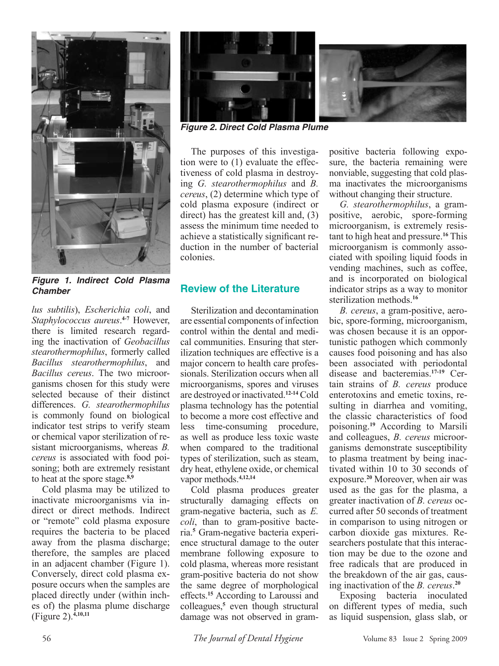

*Figure 1. Indirect Cold Plasma Chamber*

*lus subtilis*), *Escherichia coli*, and *Staphylococcus aureus*. **4-7** However, there is limited research regarding the inactivation of *Geobacillus stearothermophilus*, formerly called *Bacillus stearothermophilus*, and *Bacillus cereus*. The two microorganisms chosen for this study were selected because of their distinct differences. *G. stearothermophilus* is commonly found on biological indicator test strips to verify steam or chemical vapor sterilization of resistant microorganisms, whereas *B. cereus* is associated with food poisoning; both are extremely resistant to heat at the spore stage.**8,9**

Cold plasma may be utilized to inactivate microorganisms via indirect or direct methods. Indirect or "remote" cold plasma exposure requires the bacteria to be placed away from the plasma discharge; therefore, the samples are placed in an adjacent chamber (Figure 1). Conversely, direct cold plasma exposure occurs when the samples are placed directly under (within inches of) the plasma plume discharge (Figure 2).**4,10,11**



*Figure 2. Direct Cold Plasma Plume*

The purposes of this investigation were to (1) evaluate the effectiveness of cold plasma in destroying *G. stearothermophilus* and *B. cereus*, (2) determine which type of cold plasma exposure (indirect or direct) has the greatest kill and, (3) assess the minimum time needed to achieve a statistically significant reduction in the number of bacterial colonies.

### **Review of the Literature**

Sterilization and decontamination are essential components of infection control within the dental and medical communities. Ensuring that sterilization techniques are effective is a major concern to health care professionals. Sterilization occurs when all microorganisms, spores and viruses are destroyed or inactivated.**12-14** Cold plasma technology has the potential to become a more cost effective and less time-consuming procedure, as well as produce less toxic waste when compared to the traditional types of sterilization, such as steam, dry heat, ethylene oxide, or chemical vapor methods.**4,12,14**

Cold plasma produces greater structurally damaging effects on gram-negative bacteria, such as *E. coli*, than to gram-positive bacteria.**<sup>5</sup>** Gram-negative bacteria experience structural damage to the outer membrane following exposure to cold plasma, whereas more resistant gram-positive bacteria do not show the same degree of morphological effects.**<sup>15</sup>** According to Laroussi and colleagues,**<sup>5</sup>** even though structural damage was not observed in grampositive bacteria following exposure, the bacteria remaining were nonviable, suggesting that cold plasma inactivates the microorganisms without changing their structure.

*G. stearothermophilus*, a grampositive, aerobic, spore-forming microorganism, is extremely resistant to high heat and pressure.**<sup>16</sup>** This microorganism is commonly associated with spoiling liquid foods in vending machines, such as coffee, and is incorporated on biological indicator strips as a way to monitor sterilization methods.**<sup>16</sup>**

*B. cereus*, a gram-positive, aerobic, spore-forming, microorganism, was chosen because it is an opportunistic pathogen which commonly causes food poisoning and has also been associated with periodontal disease and bacteremias.**17-19** Certain strains of *B. cereus* produce enterotoxins and emetic toxins, resulting in diarrhea and vomiting, the classic characteristics of food poisoning.**<sup>19</sup>** According to Marsili and colleagues, *B. cereus* microorganisms demonstrate susceptibility to plasma treatment by being inactivated within 10 to 30 seconds of exposure.**<sup>20</sup>** Moreover, when air was used as the gas for the plasma, a greater inactivation of *B. cereus* occurred after 50 seconds of treatment in comparison to using nitrogen or carbon dioxide gas mixtures. Researchers postulate that this interaction may be due to the ozone and free radicals that are produced in the breakdown of the air gas, causing inactivation of the *B. cereus*. **20**

Exposing bacteria inoculated on different types of media, such as liquid suspension, glass slab, or

56 *The Journal of Dental Hygiene* Volume 83 Issue 2 Spring 2009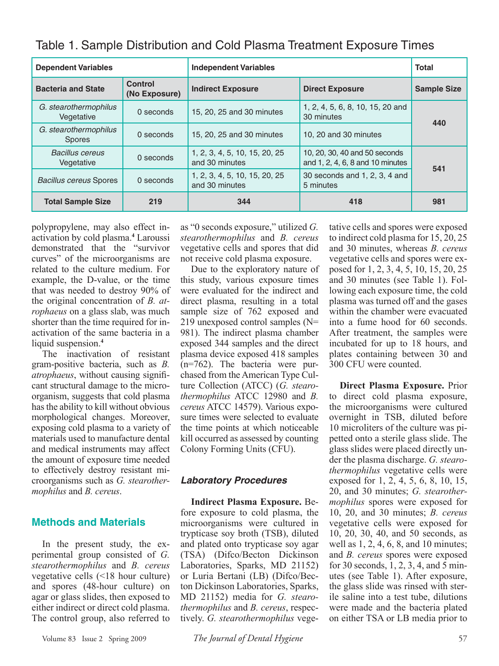| <b>Dependent Variables</b>             |                                 | <b>Independent Variables</b>                    |                                                                   | <b>Total</b>       |  |
|----------------------------------------|---------------------------------|-------------------------------------------------|-------------------------------------------------------------------|--------------------|--|
| <b>Bacteria and State</b>              | <b>Control</b><br>(No Exposure) | <b>Indirect Exposure</b>                        | <b>Direct Exposure</b>                                            | <b>Sample Size</b> |  |
| G. stearothermophilus<br>Vegetative    | 0 seconds                       | 15, 20, 25 and 30 minutes                       | 1, 2, 4, 5, 6, 8, 10, 15, 20 and<br>30 minutes                    | 440                |  |
| G. stearothermophilus<br><b>Spores</b> | 0 seconds                       | 15, 20, 25 and 30 minutes                       | 10, 20 and 30 minutes                                             |                    |  |
| <b>Bacillus cereus</b><br>Vegetative   | 0 seconds                       | 1, 2, 3, 4, 5, 10, 15, 20, 25<br>and 30 minutes | 10, 20, 30, 40 and 50 seconds<br>and 1, 2, 4, 6, 8 and 10 minutes | 541                |  |
| Bacillus cereus Spores                 | 0 seconds                       | 1, 2, 3, 4, 5, 10, 15, 20, 25<br>and 30 minutes | 30 seconds and 1, 2, 3, 4 and<br>5 minutes                        |                    |  |
| <b>Total Sample Size</b>               | 219                             | 344                                             | 418                                                               | 981                |  |

Table 1. Sample Distribution and Cold Plasma Treatment Exposure Times

polypropylene, may also effect inactivation by cold plasma.**<sup>4</sup>** Laroussi demonstrated that the "survivor curves" of the microorganisms are related to the culture medium. For example, the D-value, or the time that was needed to destroy 90% of the original concentration of *B. atrophaeus* on a glass slab, was much shorter than the time required for inactivation of the same bacteria in a liquid suspension.**<sup>4</sup>**

The inactivation of resistant gram-positive bacteria, such as *B. atrophaeus*, without causing significant structural damage to the microorganism, suggests that cold plasma has the ability to kill without obvious morphological changes. Moreover, exposing cold plasma to a variety of materials used to manufacture dental and medical instruments may affect the amount of exposure time needed to effectively destroy resistant microorganisms such as *G. stearothermophilus* and *B. cereus*.

### **Methods and Materials**

In the present study, the experimental group consisted of *G. stearothermophilus* and *B. cereus*  vegetative cells (<18 hour culture) and spores (48-hour culture) on agar or glass slides, then exposed to either indirect or direct cold plasma. The control group, also referred to

as "0 seconds exposure," utilized *G. stearothermophilus* and *B. cereus*  vegetative cells and spores that did not receive cold plasma exposure.

Due to the exploratory nature of this study, various exposure times were evaluated for the indirect and direct plasma, resulting in a total sample size of 762 exposed and 219 unexposed control samples (N= 981). The indirect plasma chamber exposed 344 samples and the direct plasma device exposed 418 samples (n=762). The bacteria were purchased from the American Type Culture Collection (ATCC) (*G. stearothermophilus* ATCC 12980 and *B. cereus* ATCC 14579). Various exposure times were selected to evaluate the time points at which noticeable kill occurred as assessed by counting Colony Forming Units (CFU).

### *Laboratory Procedures*

**Indirect Plasma Exposure.** Before exposure to cold plasma, the microorganisms were cultured in trypticase soy broth (TSB), diluted and plated onto trypticase soy agar (TSA) (Difco/Becton Dickinson Laboratories, Sparks, MD 21152) or Luria Bertani (LB) (Difco/Becton Dickinson Laboratories, Sparks, MD 21152) media for *G. stearothermophilus* and *B. cereus*, respectively. *G. stearothermophilus* vege-

tative cells and spores were exposed to indirect cold plasma for 15, 20, 25 and 30 minutes, whereas *B. cereus* vegetative cells and spores were exposed for 1, 2, 3, 4, 5, 10, 15, 20, 25 and 30 minutes (see Table 1). Following each exposure time, the cold plasma was turned off and the gases within the chamber were evacuated into a fume hood for 60 seconds. After treatment, the samples were incubated for up to 18 hours, and plates containing between 30 and 300 CFU were counted.

**Direct Plasma Exposure.** Prior to direct cold plasma exposure, the microorganisms were cultured overnight in TSB, diluted before 10 microliters of the culture was pipetted onto a sterile glass slide. The glass slides were placed directly under the plasma discharge. *G. stearothermophilus* vegetative cells were exposed for 1, 2, 4, 5, 6, 8, 10, 15, 20, and 30 minutes; *G. stearothermophilus* spores were exposed for 10, 20, and 30 minutes; *B. cereus*  vegetative cells were exposed for 10, 20, 30, 40, and 50 seconds, as well as 1, 2, 4, 6, 8, and 10 minutes; and *B. cereus* spores were exposed for 30 seconds, 1, 2, 3, 4, and 5 minutes (see Table 1). After exposure, the glass slide was rinsed with sterile saline into a test tube, dilutions were made and the bacteria plated on either TSA or LB media prior to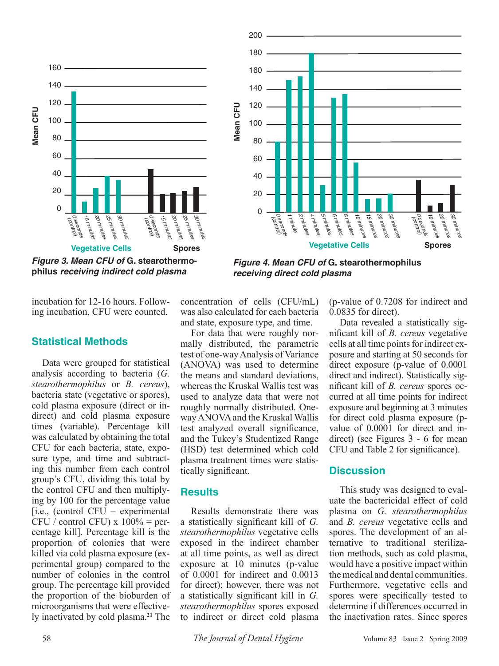



*Figure 3. Mean CFU of* **G. stearothermophilus** *receiving indirect cold plasma*

incubation for 12-16 hours. Following incubation, CFU were counted.

### **Statistical Methods**

Data were grouped for statistical analysis according to bacteria (*G. stearothermophilus* or *B. cereus*), bacteria state (vegetative or spores), cold plasma exposure (direct or indirect) and cold plasma exposure times (variable). Percentage kill was calculated by obtaining the total CFU for each bacteria, state, exposure type, and time and subtracting this number from each control group's CFU, dividing this total by the control CFU and then multiplying by 100 for the percentage value [i.e., (control CFU – experimental CFU / control CFU)  $x 100%$  = percentage kill]. Percentage kill is the proportion of colonies that were killed via cold plasma exposure (experimental group) compared to the number of colonies in the control group. The percentage kill provided the proportion of the bioburden of microorganisms that were effectively inactivated by cold plasma.**<sup>21</sup>** The

concentration of cells (CFU/mL) was also calculated for each bacteria and state, exposure type, and time.

*receiving direct cold plasma*

For data that were roughly normally distributed, the parametric test of one-way Analysis of Variance (ANOVA) was used to determine the means and standard deviations, whereas the Kruskal Wallis test was used to analyze data that were not roughly normally distributed. Oneway ANOVA and the Kruskal Wallis test analyzed overall significance, and the Tukey's Studentized Range (HSD) test determined which cold plasma treatment times were statistically significant.

#### **Results**

Results demonstrate there was a statistically significant kill of *G. stearothermophilus* vegetative cells exposed in the indirect chamber at all time points, as well as direct exposure at 10 minutes (p-value of 0.0001 for indirect and 0.0013 for direct); however, there was not a statistically significant kill in *G. stearothermophilus* spores exposed to indirect or direct cold plasma (p-value of 0.7208 for indirect and 0.0835 for direct).

Data revealed a statistically significant kill of *B. cereus* vegetative cells at all time points for indirect exposure and starting at 50 seconds for direct exposure (p-value of 0.0001 direct and indirect). Statistically significant kill of *B. cereus* spores occurred at all time points for indirect exposure and beginning at 3 minutes for direct cold plasma exposure (pvalue of 0.0001 for direct and indirect) (see Figures 3 - 6 for mean CFU and Table 2 for significance).

#### **Discussion**

This study was designed to evaluate the bactericidal effect of cold plasma on *G. stearothermophilus*  and *B. cereus* vegetative cells and spores. The development of an alternative to traditional sterilization methods, such as cold plasma, would have a positive impact within the medical and dental communities. Furthermore, vegetative cells and spores were specifically tested to determine if differences occurred in the inactivation rates. Since spores

58 *The Journal of Dental Hygiene* Volume 83 Issue 2 Spring 2009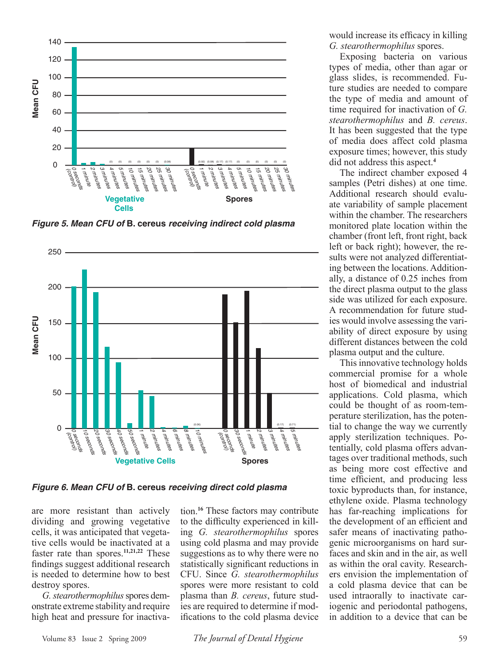

*Figure 5. Mean CFU of* **B. cereus** *receiving indirect cold plasma*



*Figure 6. Mean CFU of* **B. cereus** *receiving direct cold plasma*

are more resistant than actively dividing and growing vegetative cells, it was anticipated that vegetative cells would be inactivated at a faster rate than spores.**11,21,22** These findings suggest additional research is needed to determine how to best destroy spores.

*G. stearothermophilus* spores demonstrate extreme stability and require high heat and pressure for inactivation.**<sup>16</sup>** These factors may contribute to the difficulty experienced in killing *G. stearothermophilus* spores using cold plasma and may provide suggestions as to why there were no statistically significant reductions in CFU. Since *G. stearothermophilus* spores were more resistant to cold plasma than *B. cereus*, future studies are required to determine if modifications to the cold plasma device would increase its efficacy in killing *G. stearothermophilus* spores.

Exposing bacteria on various types of media, other than agar or glass slides, is recommended. Future studies are needed to compare the type of media and amount of time required for inactivation of *G. stearothermophilus* and *B. cereus*. It has been suggested that the type of media does affect cold plasma exposure times; however, this study did not address this aspect.**<sup>4</sup>**

The indirect chamber exposed 4 samples (Petri dishes) at one time. Additional research should evaluate variability of sample placement within the chamber. The researchers monitored plate location within the chamber (front left, front right, back left or back right); however, the results were not analyzed differentiating between the locations. Additionally, a distance of 0.25 inches from the direct plasma output to the glass side was utilized for each exposure. A recommendation for future studies would involve assessing the variability of direct exposure by using different distances between the cold plasma output and the culture.

This innovative technology holds commercial promise for a whole host of biomedical and industrial applications. Cold plasma, which could be thought of as room-temperature sterilization, has the potential to change the way we currently apply sterilization techniques. Potentially, cold plasma offers advantages over traditional methods, such as being more cost effective and time efficient, and producing less toxic byproducts than, for instance, ethylene oxide. Plasma technology has far-reaching implications for the development of an efficient and safer means of inactivating pathogenic microorganisms on hard surfaces and skin and in the air, as well as within the oral cavity. Researchers envision the implementation of a cold plasma device that can be used intraorally to inactivate cariogenic and periodontal pathogens, in addition to a device that can be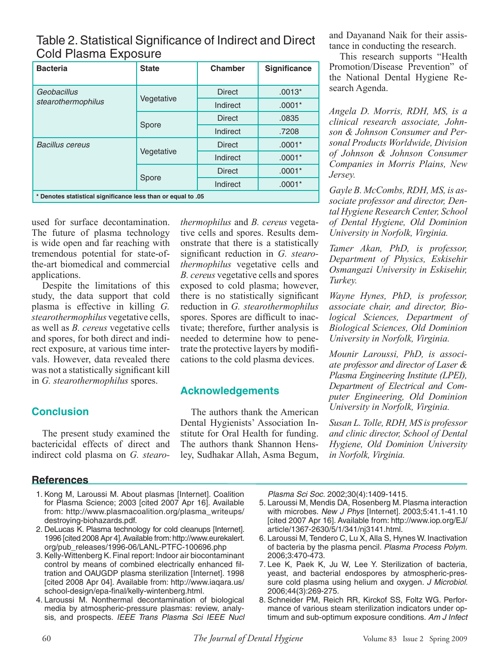Table 2. Statistical Significance of Indirect and Direct Cold Plasma Exposure

| <b>Bacteria</b>                                              | <b>State</b> | <b>Chamber</b> | <b>Significance</b> |  |  |
|--------------------------------------------------------------|--------------|----------------|---------------------|--|--|
| Geobacillus                                                  | Vegetative   | <b>Direct</b>  | $.0013*$            |  |  |
| stearothermophilus                                           |              | Indirect       | $.0001*$            |  |  |
|                                                              | Spore        | <b>Direct</b>  | .0835               |  |  |
|                                                              |              | Indirect       | .7208               |  |  |
| <b>Bacillus cereus</b>                                       | Vegetative   | <b>Direct</b>  | $.0001*$            |  |  |
|                                                              |              | Indirect       | $.0001*$            |  |  |
|                                                              | Spore        | <b>Direct</b>  | $.0001*$            |  |  |
|                                                              |              | Indirect       | $.0001*$            |  |  |
| * Denotes statistical significance less than or equal to .05 |              |                |                     |  |  |

used for surface decontamination. The future of plasma technology is wide open and far reaching with tremendous potential for state-ofthe-art biomedical and commercial applications.

Despite the limitations of this study, the data support that cold plasma is effective in killing *G. stearothermophilus* vegetative cells, as well as *B. cereus* vegetative cells and spores, for both direct and indirect exposure, at various time intervals. However, data revealed there was not a statistically significant kill in *G. stearothermophilus* spores.

## **Conclusion**

The present study examined the bactericidal effects of direct and indirect cold plasma on *G. stearo-*

### **References**

- 1. Kong M, Laroussi M. About plasmas [Internet]. Coalition for Plasma Science; 2003 [cited 2007 Apr 16]. Available from: http://www.plasmacoalition.org/plasma\_writeups/ destroying-biohazards.pdf.
- 2. DeLucas K. Plasma technology for cold cleanups [Internet]. 1996 [cited 2008 Apr 4]. Available from: http://www.eurekalert. org/pub\_releases/1996-06/LANL-PTFC-100696.php
- 3. Kelly-Wittenberg K. Final report: Indoor air biocontaminant control by means of combined electrically enhanced filtration and OAUGDP plasma sterilization [Internet]. 1998 [cited 2008 Apr 04]. Available from: http://www.iaqara.us/ school-design/epa-final/kelly-wintenberg.html.
- 4. Laroussi M. Nonthermal decontamination of biological media by atmospheric-pressure plasmas: review, analysis, and prospects. *IEEE Trans Plasma Sci IEEE Nucl*

*thermophilus* and *B. cereus* vegetative cells and spores. Results demonstrate that there is a statistically significant reduction in *G. stearothermophilus* vegetative cells and *B. cereus* vegetative cells and spores exposed to cold plasma; however, there is no statistically significant reduction in *G. stearothermophilus* spores. Spores are difficult to inactivate; therefore, further analysis is needed to determine how to penetrate the protective layers by modifications to the cold plasma devices.

# **Acknowledgements**

The authors thank the American Dental Hygienists' Association Institute for Oral Health for funding. The authors thank Shannon Hensley, Sudhakar Allah, Asma Begum, and Dayanand Naik for their assistance in conducting the research.

This research supports "Health Promotion/Disease Prevention" of the National Dental Hygiene Research Agenda.

*Angela D. Morris, RDH, MS, is a clinical research associate, Johnson & Johnson Consumer and Personal Products Worldwide, Division of Johnson & Johnson Consumer Companies in Morris Plains, New Jersey.*

*Gayle B. McCombs, RDH, MS, is associate professor and director, Dental Hygiene Research Center, School of Dental Hygiene, Old Dominion University in Norfolk, Virginia.* 

*Tamer Akan, PhD, is professor, Department of Physics, Eskisehir Osmangazi University in Eskisehir, Turkey.*

*Wayne Hynes, PhD, is professor, associate chair, and director, Biological Sciences, Department of Biological Sciences, Old Dominion University in Norfolk, Virginia.*

*Mounir Laroussi, PhD, is associate professor and director of Laser & Plasma Engineering Institute (LPEI), Department of Electrical and Computer Engineering, Old Dominion University in Norfolk, Virginia.*

*Susan L. Tolle, RDH, MS is professor and clinic director, School of Dental Hygiene, Old Dominion University in Norfolk, Virginia.* 

*Plasma Sci Soc.* 2002;30(4):1409-1415.

- 5. Laroussi M, Mendis DA, Rosenberg M. Plasma interaction with microbes. *New J Phys* [Internet]. 2003;5:41.1-41.10 [cited 2007 Apr 16]. Available from: http://www.iop.org/EJ/ article/1367-2630/5/1/341/nj3141.html.
- 6. Laroussi M, Tendero C, Lu X, Alla S, Hynes W. Inactivation of bacteria by the plasma pencil. *Plasma Process Polym.* 2006;3:470-473.
- 7. Lee K, Paek K, Ju W, Lee Y. Sterilization of bacteria, yeast, and bacterial endospores by atmospheric-pressure cold plasma using helium and oxygen. *J Microbiol.*  2006;44(3):269-275.
- 8. Schneider PM, Reich RR, Kirckof SS, Foltz WG. Performance of various steam sterilization indicators under optimum and sub-optimum exposure conditions. *Am J Infect*

60 *The Journal of Dental Hygiene* Volume 83 Issue 2 Spring 2009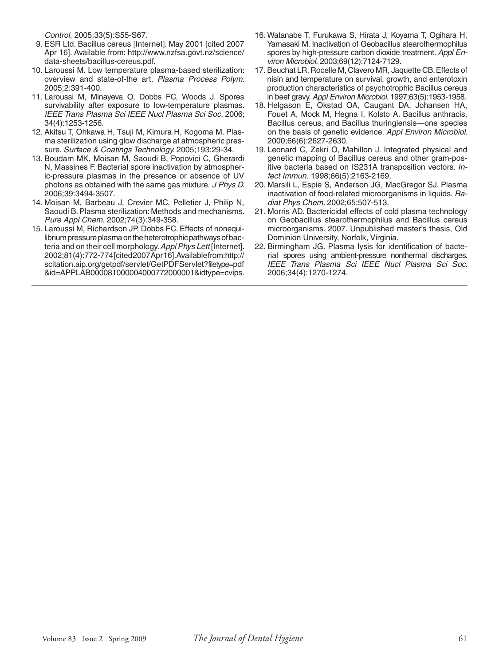*Control*, 2005;33(5):S55-S67.

- 9. ESR Ltd. Bacillus cereus [Internet]. May 2001 [cited 2007 Apr 16]. Available from: http://www.nzfsa.govt.nz/science/ data-sheets/bacillus-cereus.pdf.
- 10. Laroussi M. Low temperature plasma-based sterilization: overview and state-of-the art. *Plasma Process Polym.*  2005;2:391-400.
- 11. Laroussi M, Minayeva O, Dobbs FC, Woods J. Spores survivability after exposure to low-temperature plasmas. *IEEE Trans Plasma Sci IEEE Nucl Plasma Sci Soc.* 2006; 34(4):1253-1256.
- 12. Akitsu T, Ohkawa H, Tsuji M, Kimura H, Kogoma M. Plasma sterilization using glow discharge at atmospheric pressure. *Surface & Coatings Technology.* 2005;193:29-34.
- 13. Boudam MK, Moisan M, Saoudi B, Popovici C, Gherardi N, Massines F. Bacterial spore inactivation by atmospheric-pressure plasmas in the presence or absence of UV photons as obtained with the same gas mixture. *J Phys D.*  2006;39:3494-3507.
- 14. Moisan M, Barbeau J, Crevier MC, Pelletier J, Philip N, Saoudi B. Plasma sterilization: Methods and mechanisms. *Pure Appl Chem.* 2002;74(3):349-358.
- 15. Laroussi M, Richardson JP, Dobbs FC. Effects of nonequilibrium pressure plasma on the heterotrophic pathways of bacteria and on their cell morphology. *Appl Phys Lett* [Internet]. 2002;81(4):772-774 [cited 2007 Apr 16]. Available from: http:// scitation.aip.org/getpdf/servlet/GetPDFServlet?filetype=pdf &id=APPLAB000081000004000772000001&idtype=cvips.
- 16. Watanabe T, Furukawa S, Hirata J, Koyama T, Ogihara H, Yamasaki M. Inactivation of Geobacillus stearothermophilus spores by high-pressure carbon dioxide treatment. *Appl Environ Microbiol.* 2003;69(12):7124-7129.
- 17. Beuchat LR, Rocelle M, Clavero MR, Jaquette CB. Effects of nisin and temperature on survival, growth, and enterotoxin production characteristics of psychotrophic Bacillus cereus in beef gravy. *Appl Environ Microbiol.* 1997;63(5):1953-1958.
- 18. Helgason E, Okstad OA, Caugant DA, Johansen HA, Fouet A, Mock M, Hegna I, Kolsto A. Bacillus anthracis, Bacillus cereus, and Bacillus thuringiensis—one species on the basis of genetic evidence. *Appl Environ Microbiol.*  2000;66(6):2627-2630.
- 19. Leonard C, Zekri O, Mahillon J. Integrated physical and genetic mapping of Bacillus cereus and other gram-positive bacteria based on IS231A transposition vectors. *Infect Immun.* 1998;66(5):2163-2169.
- 20. Marsili L, Espie S, Anderson JG, MacGregor SJ. Plasma inactivation of food-related microorganisms in liquids. *Radiat Phys Chem.* 2002;65:507-513.
- 21. Morris AD. Bactericidal effects of cold plasma technology on Geobacillus stearothermophilus and Bacillus cereus microorganisms. 2007. Unpublished master's thesis, Old Dominion University, Norfolk, Virginia.
- 22. Birmingham JG. Plasma lysis for identification of bacterial spores using ambient-pressure nonthermal discharges. *IEEE Trans Plasma Sci IEEE Nucl Plasma Sci Soc.*  2006;34(4):1270-1274.